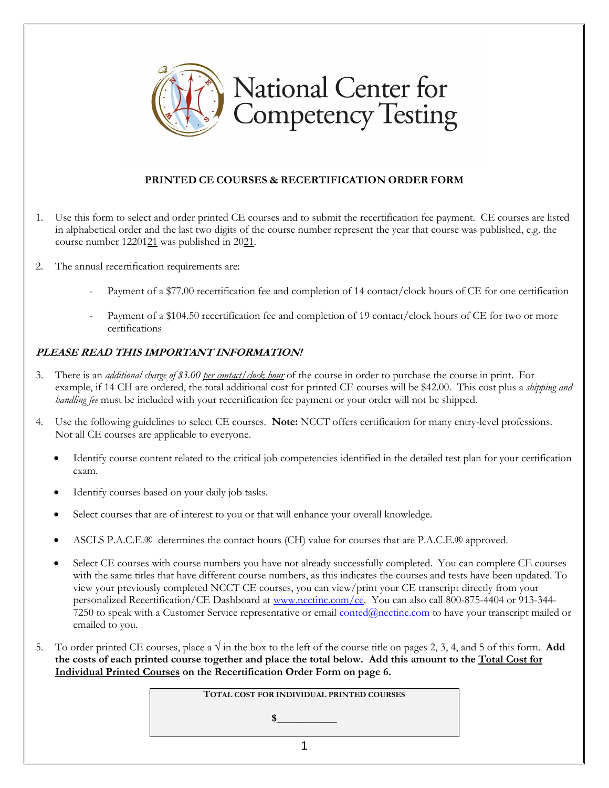

## **PRINTED CE COURSES & RECERTIFICATION ORDER FORM**

- 1. Use this form to select and order printed CE courses and to submit the recertification fee payment. CE courses are listed in alphabetical order and the last two digits of the course number represent the year that course was published, e.g. the course number 1220121 was published in 2021.
- 2. The annual recertification requirements are:
	- Payment of a \$77.00 recertification fee and completion of 14 contact/clock hours of CE for one certification
	- Payment of a \$104.50 recertification fee and completion of 19 contact/clock hours of CE for two or more certifications

## **PLEASE READ THIS IMPORTANT INFORMATION!**

- 3. There is an *additional charge of \$3.00 per contact/clock hour* of the course in order to purchase the course in print. For example, if 14 CH are ordered, the total additional cost for printed CE courses will be \$42.00. This cost plus a *shipping and handling fee* must be included with your recertification fee payment or your order will not be shipped.
- 4. Use the following guidelines to select CE courses. **Note:** NCCT offers certification for many entry-level professions. Not all CE courses are applicable to everyone.
	- Identify course content related to the critical job competencies identified in the detailed test plan for your certification exam.
	- Identify courses based on your daily job tasks.
	- Select courses that are of interest to you or that will enhance your overall knowledge.
	- ASCLS P.A.C.E.® determines the contact hours (CH) value for courses that are P.A.C.E.® approved.
	- Select CE courses with course numbers you have not already successfully completed. You can complete CE courses with the same titles that have different course numbers, as this indicates the courses and tests have been updated. To view your previously completed NCCT CE courses, you can view/print your CE transcript directly from your personalized Recertification/CE Dashboard at [www.ncctinc.com/](http://www.ncctinc.com/)ce. You can also call 800-875-4404 or 913-3447250 to speak with a Customer Service representative or email [conted@ncctinc.com](mailto:conted@ncctinc.com) to have your transcript mailed or emailed to you.
- 5. To order printed CE courses, place a  $\sqrt{ }$  in the box to the left of the course title on pages 2, 3, 4, and 5 of this form. **Add the costs of each printed course together and place the total below. Add this amount to the Total Cost for Individual Printed Courses on the Recertification Order Form on page 6.**

**TOTAL COST FOR INDIVIDUAL PRINTED COURSES**

 $$$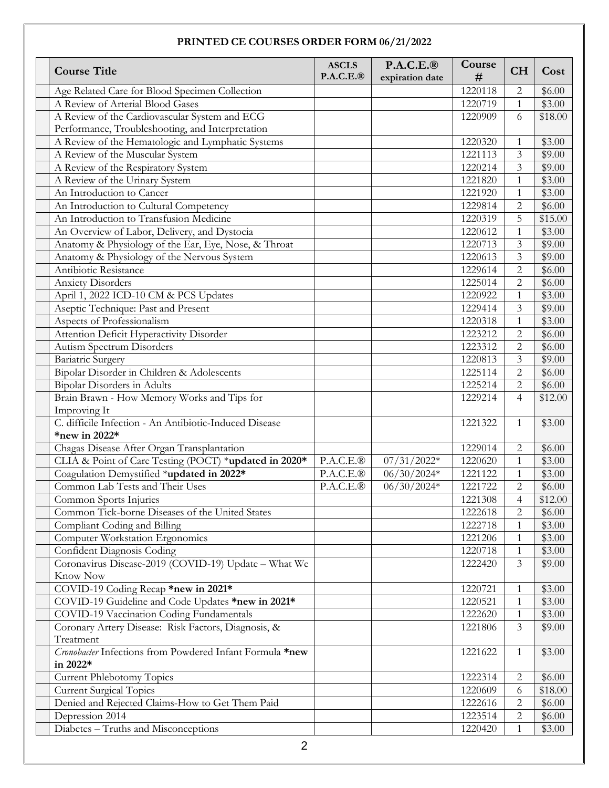## **PRINTED CE COURSES ORDER FORM 06/21/2022**

| <b>Course Title</b>                                      | <b>ASCLS</b><br>$P.A.C.E.\circledR$ | $P.A.C.E.\circledR$<br>expiration date | Course<br># | <b>CH</b>      | Cost     |
|----------------------------------------------------------|-------------------------------------|----------------------------------------|-------------|----------------|----------|
| Age Related Care for Blood Specimen Collection           |                                     |                                        | 1220118     | $\mathbf{2}$   | \$6.00   |
| A Review of Arterial Blood Gases                         |                                     |                                        | 1220719     | $\mathbf{1}$   | \$3.00   |
| A Review of the Cardiovascular System and ECG            |                                     |                                        | 1220909     | 6              | \$18.00  |
| Performance, Troubleshooting, and Interpretation         |                                     |                                        |             |                |          |
| A Review of the Hematologic and Lymphatic Systems        |                                     |                                        | 1220320     | $\mathbf{1}$   | \$3.00   |
| A Review of the Muscular System                          |                                     |                                        | 1221113     | 3              | \$9.00   |
| A Review of the Respiratory System                       |                                     |                                        | 1220214     | 3              | \$9.00   |
| A Review of the Urinary System                           |                                     |                                        | 1221820     | $\mathbf{1}$   | \$3.00   |
| An Introduction to Cancer                                |                                     |                                        | 1221920     | 1              | \$3.00   |
| An Introduction to Cultural Competency                   |                                     |                                        | 1229814     | $\overline{2}$ | \$6.00   |
| An Introduction to Transfusion Medicine                  |                                     |                                        | 1220319     | 5              | \$15.00  |
| An Overview of Labor, Delivery, and Dystocia             |                                     |                                        | 1220612     | $\mathbf{1}$   | \$3.00   |
| Anatomy & Physiology of the Ear, Eye, Nose, & Throat     |                                     |                                        | 1220713     | 3              | \$9.00   |
| Anatomy & Physiology of the Nervous System               |                                     |                                        | 1220613     | 3              | \$9.00   |
| Antibiotic Resistance                                    |                                     |                                        | 1229614     | $\overline{2}$ | \$6.00   |
| <b>Anxiety Disorders</b>                                 |                                     |                                        | 1225014     | $\overline{2}$ | \$6.00   |
| April 1, 2022 ICD-10 CM & PCS Updates                    |                                     |                                        | 1220922     | $\mathbf{1}$   | \$3.00   |
| Aseptic Technique: Past and Present                      |                                     |                                        | 1229414     | 3              | \$9.00   |
| Aspects of Professionalism                               |                                     |                                        | 1220318     | 1              | \$3.00   |
| Attention Deficit Hyperactivity Disorder                 |                                     |                                        | 1223212     | $\overline{2}$ | \$6.00   |
| Autism Spectrum Disorders                                |                                     |                                        | 1223312     | $\overline{2}$ | \$6.00   |
| <b>Bariatric Surgery</b>                                 |                                     |                                        | 1220813     | 3              | \$9.00   |
| Bipolar Disorder in Children & Adolescents               |                                     |                                        | 1225114     | $\overline{2}$ | \$6.00   |
| Bipolar Disorders in Adults                              |                                     |                                        | 1225214     | $\overline{2}$ | \$6.00   |
| Brain Brawn - How Memory Works and Tips for              |                                     |                                        | 1229214     | 4              | \$12.00  |
| Improving It                                             |                                     |                                        |             |                |          |
| C. difficile Infection - An Antibiotic-Induced Disease   |                                     |                                        | 1221322     | $\mathbf{1}$   | \$3.00   |
| *new in 2022*                                            |                                     |                                        |             |                |          |
| Chagas Disease After Organ Transplantation               |                                     |                                        | 1229014     | $\mathbf{2}$   | \$6.00   |
| CLIA & Point of Care Testing (POCT) *updated in 2020*    | P.A.C.E.®                           | $07/31/2022*$                          | 1220620     | $\mathbf{1}$   | \$3.00   |
| Coagulation Demystified *updated in 2022*                | $\overline{P.A}$ .C.E.®             | $06/30/2024*$                          | 1221122     | $\mathbf{1}$   | \$3.00   |
| Common Lab Tests and Their Uses                          | P.A.C.E.®                           | $06/30/2024*$                          | 1221722     | $\overline{c}$ | \$6.00   |
| Common Sports Injuries                                   |                                     |                                        | 1221308     | $\overline{4}$ | \$12.00  |
| Common Tick-borne Diseases of the United States          |                                     |                                        | 1222618     | 2              | \$6.00\$ |
| Compliant Coding and Billing                             |                                     |                                        | 1222718     | 1              | \$3.00   |
| Computer Workstation Ergonomics                          |                                     |                                        | 1221206     | 1              | \$3.00   |
| Confident Diagnosis Coding                               |                                     |                                        | 1220718     | 1              | \$3.00   |
| Coronavirus Disease-2019 (COVID-19) Update - What We     |                                     |                                        | 1222420     | 3              | \$9.00   |
| <b>Know Now</b>                                          |                                     |                                        |             |                |          |
| COVID-19 Coding Recap *new in 2021*                      |                                     |                                        | 1220721     | 1              | \$3.00   |
| COVID-19 Guideline and Code Updates *new in 2021*        |                                     |                                        | 1220521     | $\mathbf{1}$   | \$3.00   |
| COVID-19 Vaccination Coding Fundamentals                 |                                     |                                        | 1222620     | 1              | \$3.00   |
| Coronary Artery Disease: Risk Factors, Diagnosis, &      |                                     |                                        | 1221806     | 3              | \$9.00   |
| Treatment                                                |                                     |                                        |             |                |          |
| Cronobacter Infections from Powdered Infant Formula *new |                                     |                                        | 1221622     | $\mathbf{1}$   | \$3.00   |
| in 2022*                                                 |                                     |                                        |             |                |          |
| <b>Current Phlebotomy Topics</b>                         |                                     |                                        | 1222314     | 2              | \$6.00   |
| <b>Current Surgical Topics</b>                           |                                     |                                        | 1220609     | 6              | \$18.00  |
| Denied and Rejected Claims-How to Get Them Paid          |                                     |                                        | 1222616     | 2              | \$6.00   |
| Depression 2014                                          |                                     |                                        | 1223514     | 2              | \$6.00   |
| Diabetes - Truths and Misconceptions                     |                                     |                                        | 1220420     | 1              | \$3.00   |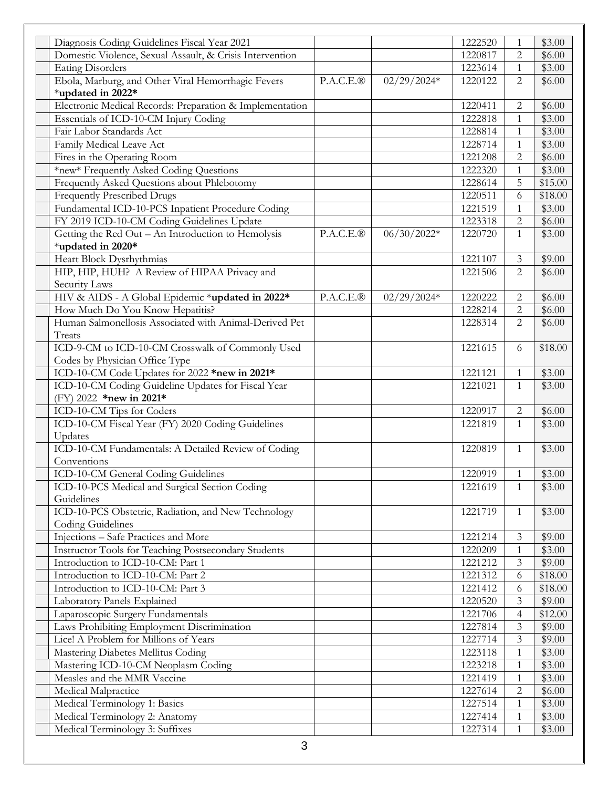| Diagnosis Coding Guidelines Fiscal Year 2021                |           |               | 1222520 | $\mathbf{1}$   | \$3.00  |
|-------------------------------------------------------------|-----------|---------------|---------|----------------|---------|
| Domestic Violence, Sexual Assault, & Crisis Intervention    |           |               | 1220817 | 2              | \$6.00  |
| <b>Eating Disorders</b>                                     |           |               | 1223614 | $\mathbf{1}$   | \$3.00  |
| Ebola, Marburg, and Other Viral Hemorrhagic Fevers          | P.A.C.E.® | $02/29/2024*$ | 1220122 | 2              | \$6.00  |
| *updated in 2022*                                           |           |               |         |                |         |
| Electronic Medical Records: Preparation & Implementation    |           |               | 1220411 | 2              | \$6.00  |
| Essentials of ICD-10-CM Injury Coding                       |           |               | 1222818 | $\mathbf{1}$   | \$3.00  |
| Fair Labor Standards Act                                    |           |               | 1228814 | $\mathbf{1}$   | \$3.00  |
| Family Medical Leave Act                                    |           |               | 1228714 | $\mathbf{1}$   | \$3.00  |
| Fires in the Operating Room                                 |           |               | 1221208 | $\overline{2}$ | \$6.00  |
| *new* Frequently Asked Coding Questions                     |           |               | 1222320 | 1              | \$3.00  |
| Frequently Asked Questions about Phlebotomy                 |           |               | 1228614 | 5              | \$15.00 |
| <b>Frequently Prescribed Drugs</b>                          |           |               | 1220511 | 6              | \$18.00 |
| Fundamental ICD-10-PCS Inpatient Procedure Coding           |           |               | 1221519 | $\mathbf{1}$   | \$3.00  |
| FY 2019 ICD-10-CM Coding Guidelines Update                  |           |               | 1223318 | $\overline{2}$ | \$6.00  |
| Getting the Red Out - An Introduction to Hemolysis          | P.A.C.E.® | $06/30/2022*$ | 1220720 | $\mathbf{1}$   | \$3.00  |
| *updated in 2020*                                           |           |               |         |                |         |
| Heart Block Dysrhythmias                                    |           |               | 1221107 | 3              | \$9.00  |
| HIP, HIP, HUH? A Review of HIPAA Privacy and                |           |               | 1221506 | $\overline{2}$ | \$6.00  |
| Security Laws                                               |           |               |         |                |         |
| HIV & AIDS - A Global Epidemic *updated in 2022*            | P.A.C.E.® | $02/29/2024*$ | 1220222 | 2              | \$6.00  |
| How Much Do You Know Hepatitis?                             |           |               | 1228214 | $\overline{2}$ | \$6.00  |
| Human Salmonellosis Associated with Animal-Derived Pet      |           |               | 1228314 | 2              | \$6.00  |
| Treats                                                      |           |               |         |                |         |
| ICD-9-CM to ICD-10-CM Crosswalk of Commonly Used            |           |               | 1221615 | 6              | \$18.00 |
| Codes by Physician Office Type                              |           |               |         |                |         |
| ICD-10-CM Code Updates for 2022 *new in 2021*               |           |               | 1221121 | 1              | \$3.00  |
| ICD-10-CM Coding Guideline Updates for Fiscal Year          |           |               | 1221021 | $\mathbf{1}$   | \$3.00  |
| (FY) 2022 *new in 2021*                                     |           |               |         |                |         |
| ICD-10-CM Tips for Coders                                   |           |               | 1220917 | $\mathbf{2}$   | \$6.00  |
| ICD-10-CM Fiscal Year (FY) 2020 Coding Guidelines           |           |               | 1221819 | 1              | \$3.00  |
| Updates                                                     |           |               |         |                |         |
| ICD-10-CM Fundamentals: A Detailed Review of Coding         |           |               | 1220819 | $\mathbf{1}$   | \$3.00  |
| Conventions                                                 |           |               |         |                |         |
| ICD-10-CM General Coding Guidelines                         |           |               | 1220919 | 1              | \$3.00  |
| ICD-10-PCS Medical and Surgical Section Coding              |           |               | 1221619 | 1              | \$3.00  |
| Guidelines                                                  |           |               |         |                |         |
| ICD-10-PCS Obstetric, Radiation, and New Technology         |           |               | 1221719 | 1              | \$3.00  |
| Coding Guidelines                                           |           |               |         |                |         |
| Injections - Safe Practices and More                        |           |               | 1221214 | 3              | \$9.00  |
| <b>Instructor Tools for Teaching Postsecondary Students</b> |           |               | 1220209 | $\mathbf{1}$   | \$3.00  |
| Introduction to ICD-10-CM: Part 1                           |           |               | 1221212 | 3              | \$9.00  |
| Introduction to ICD-10-CM: Part 2                           |           |               | 1221312 | 6              | \$18.00 |
| Introduction to ICD-10-CM: Part 3                           |           |               | 1221412 | 6              | \$18.00 |
| Laboratory Panels Explained                                 |           |               | 1220520 | 3              | \$9.00  |
| Laparoscopic Surgery Fundamentals                           |           |               | 1221706 | $\overline{4}$ | \$12.00 |
| Laws Prohibiting Employment Discrimination                  |           |               | 1227814 | 3              | \$9.00  |
| Lice! A Problem for Millions of Years                       |           |               | 1227714 | 3              | \$9.00  |
| Mastering Diabetes Mellitus Coding                          |           |               | 1223118 | 1              | \$3.00  |
| Mastering ICD-10-CM Neoplasm Coding                         |           |               | 1223218 | $\mathbf{1}$   | \$3.00  |
| Measles and the MMR Vaccine                                 |           |               | 1221419 | 1              | \$3.00  |
| Medical Malpractice                                         |           |               | 1227614 | $\overline{2}$ | \$6.00  |
| Medical Terminology 1: Basics                               |           |               | 1227514 | 1              | \$3.00  |
| Medical Terminology 2: Anatomy                              |           |               | 1227414 | 1              | \$3.00  |
| Medical Terminology 3: Suffixes                             |           |               | 1227314 | $\mathbf{1}$   | \$3.00  |
|                                                             |           |               |         |                |         |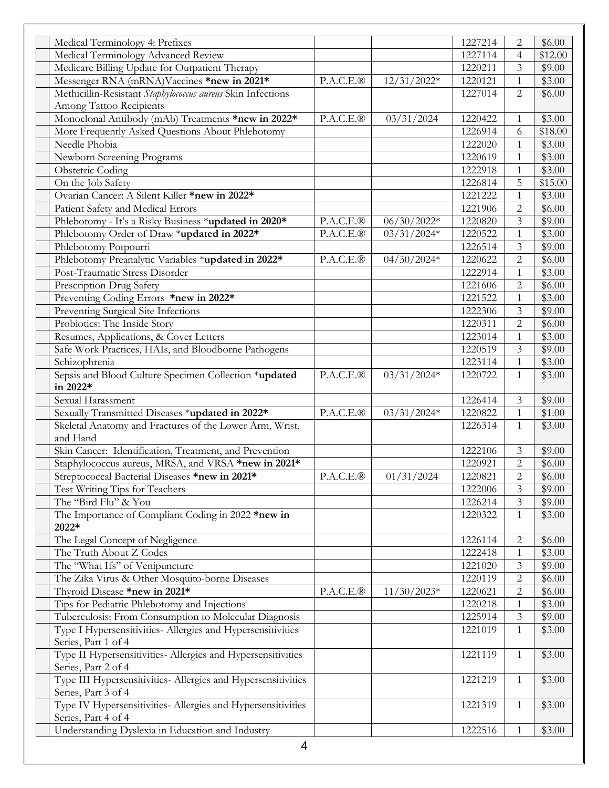| Medical Terminology 4: Prefixes                                                      |                        |                       | 1227214            | 2                 | \$6.00           |
|--------------------------------------------------------------------------------------|------------------------|-----------------------|--------------------|-------------------|------------------|
| Medical Terminology Advanced Review                                                  |                        |                       | 1227114            | 4                 | \$12.00          |
| Medicare Billing Update for Outpatient Therapy                                       |                        |                       | 1220211            | 3                 | \$9.00           |
| Messenger RNA (mRNA)Vaccines *new in 2021*                                           | P.A.C.E.B              | $12/31/2022*$         | 1220121            | 1                 | \$3.00           |
| Methicillin-Resistant Staphylococcus aureus Skin Infections                          |                        |                       | 1227014            | $\overline{2}$    | \$6.00           |
| Among Tattoo Recipients                                                              |                        |                       |                    |                   |                  |
| Monoclonal Antibody (mAb) Treatments *new in 2022*                                   | P.A.C.E.®              | 03/31/2024            | 1220422            | 1                 | \$3.00           |
| More Frequently Asked Questions About Phlebotomy                                     |                        |                       | 1226914            | 6                 | \$18.00          |
| Needle Phobia                                                                        |                        |                       | 1222020            | $\mathbf{1}$      | \$3.00           |
| Newborn Screening Programs                                                           |                        |                       | 1220619            | $\mathbf{1}$      | \$3.00           |
| <b>Obstetric Coding</b>                                                              |                        |                       | 1222918            |                   | \$3.00           |
| $\overline{On}$ the Job Safety                                                       |                        |                       | 1226814            | 5                 | \$15.00          |
| Ovarian Cancer: A Silent Killer *new in 2022*                                        |                        |                       | 1221222            | 1                 | \$3.00           |
| Patient Safety and Medical Errors                                                    |                        |                       | 1221906            | 2                 | \$6.00           |
| Phlebotomy - It's a Risky Business *updated in 2020*                                 | $\overline{P.A.C.E.B}$ | $\frac{06}{30}/2022*$ | 1220820            | 3                 | \$9.00           |
| Phlebotomy Order of Draw *updated in 2022*                                           | P.A.C.E.®              | $03/31/2024*$         | 1220522            | $\mathbf{1}$      | \$3.00           |
| Phlebotomy Potpourri                                                                 |                        |                       | 1226514            | 3                 | \$9.00           |
| Phlebotomy Preanalytic Variables *updated in 2022*                                   | P.A.C.E.®              | $04/30/2024*$         | 1220622            | $\overline{2}$    | \$6.00           |
| Post-Traumatic Stress Disorder                                                       |                        |                       | 1222914            |                   | \$3.00           |
| Prescription Drug Safety                                                             |                        |                       | 1221606            | $\overline{2}$    | \$6.00           |
| Preventing Coding Errors *new in 2022*                                               |                        |                       | 1221522            | $\mathbf{1}$      | \$3.00           |
| Preventing Surgical Site Infections                                                  |                        |                       | 1222306            | $\overline{3}$    | \$9.00           |
| Probiotics: The Inside Story                                                         |                        |                       | 1220311            | $\overline{2}$    | \$6.00           |
| Resumes, Applications, & Cover Letters                                               |                        |                       | 1223014            | 1                 | \$3.00           |
| Safe Work Practices, HAIs, and Bloodborne Pathogens                                  |                        |                       | 1220519            | 3                 | \$9.00           |
| Schizophrenia                                                                        |                        |                       | 1223114            | 1                 | \$3.00           |
| Sepsis and Blood Culture Specimen Collection *updated                                | P.A.C.E.B              | $03/31/2024*$         | 1220722            | $\mathbf{1}$      | \$3.00           |
| in 2022*                                                                             |                        |                       |                    |                   |                  |
| Sexual Harassment                                                                    |                        |                       | 1226414            | 3                 | \$9.00           |
| Sexually Transmitted Diseases *updated in 2022*                                      | P.A.C.E.B              | $03/31/2024*$         | 1220822            | $\mathbf{1}$      | \$1.00           |
| Skeletal Anatomy and Fractures of the Lower Arm, Wrist,                              |                        |                       | 1226314            | $\mathbf{1}$      | \$3.00           |
| and Hand                                                                             |                        |                       |                    |                   |                  |
| Skin Cancer: Identification, Treatment, and Prevention                               |                        |                       | 1222106            | 3                 | \$9.00           |
| Staphylococcus aureus, MRSA, and VRSA *new in 2021*                                  |                        |                       | 1220921            | $\mathbf{2}$      | \$6.00           |
| Streptococcal Bacterial Diseases *new in 2021*                                       | $P.A.C.E.\mathcal{R}$  | 01/31/2024            | 1220821            | $\overline{c}$    | \$6.00           |
| Test Writing Tips for Teachers                                                       |                        |                       | 1222006            | 3                 | \$9.00           |
| The "Bird Flu" & You                                                                 |                        |                       | 1226214            | 3                 | \$9.00           |
| The Importance of Compliant Coding in 2022 *new in                                   |                        |                       | 1220322            | 1                 | \$3.00           |
| 2022*                                                                                |                        |                       |                    |                   |                  |
| The Legal Concept of Negligence                                                      |                        |                       | 1226114            | 2                 | \$6.00           |
| The Truth About Z Codes                                                              |                        |                       | 1222418            |                   | \$3.00           |
| The "What Ifs" of Venipuncture                                                       |                        |                       | 1221020            | 1<br>3            | \$9.00           |
| The Zika Virus & Other Mosquito-borne Diseases                                       |                        |                       | 1220119            | $\overline{c}$    | \$6.00           |
|                                                                                      | P.A.C.E.B              |                       |                    |                   |                  |
| Thyroid Disease *new in 2021*                                                        |                        | $11/30/2023*$         | 1220621<br>1220218 | $\mathbf{2}$<br>1 | \$6.00<br>\$3.00 |
| Tips for Pediatric Phlebotomy and Injections                                         |                        |                       |                    |                   |                  |
| Tuberculosis: From Consumption to Molecular Diagnosis                                |                        |                       | 1225914            | 3                 | \$9.00           |
| Type I Hypersensitivities- Allergies and Hypersensitivities<br>Series, Part 1 of 4   |                        |                       | 1221019            | 1                 | \$3.00           |
| Type II Hypersensitivities- Allergies and Hypersensitivities                         |                        |                       | 1221119            | 1                 | \$3.00           |
| Series, Part 2 of 4<br>Type III Hypersensitivities- Allergies and Hypersensitivities |                        |                       | 1221219            | 1                 | \$3.00           |
| Series, Part 3 of 4<br>Type IV Hypersensitivities- Allergies and Hypersensitivities  |                        |                       |                    |                   | \$3.00           |
| Series, Part 4 of 4                                                                  |                        |                       | 1221319            | 1                 |                  |
| Understanding Dyslexia in Education and Industry                                     |                        |                       | 1222516            | 1                 | \$3.00           |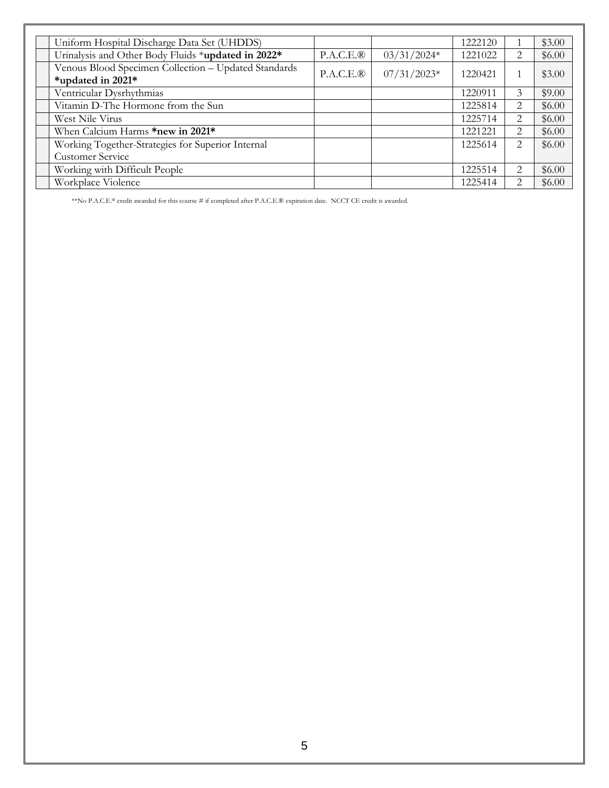| Uniform Hospital Discharge Data Set (UHDDS)                               |            |               | 1222120 |                               | \$3.00 |
|---------------------------------------------------------------------------|------------|---------------|---------|-------------------------------|--------|
| Urinalysis and Other Body Fluids *updated in 2022*                        | P.A.C.E.B  | $03/31/2024*$ | 1221022 | $\mathfrak{D}_{\mathfrak{p}}$ | \$6.00 |
| Venous Blood Specimen Collection - Updated Standards<br>*updated in 2021* | P.A.C.E.B. | $07/31/2023*$ | 1220421 |                               | \$3.00 |
| Ventricular Dysrhythmias                                                  |            |               | 1220911 | 3                             | \$9.00 |
| Vitamin D-The Hormone from the Sun                                        |            |               | 1225814 | $\mathfrak{D}_{\mathfrak{p}}$ | \$6.00 |
| West Nile Virus                                                           |            |               | 1225714 | $\mathfrak{D}_{\mathfrak{p}}$ | \$6.00 |
| When Calcium Harms *new in 2021*                                          |            |               | 1221221 | $\mathfrak{D}_{\mathfrak{p}}$ | \$6.00 |
| Working Together-Strategies for Superior Internal                         |            |               | 1225614 | 2                             | \$6.00 |
| <b>Customer Service</b>                                                   |            |               |         |                               |        |
| Working with Difficult People                                             |            |               | 1225514 | 2                             | \$6.00 |
| Workplace Violence                                                        |            |               | 1225414 | $\mathcal{D}_{\mathcal{L}}$   | \$6.00 |

\*\*No P.A.C.E.® credit awarded for this course # if completed after P.A.C.E.® expiration date. NCCT CE credit is awarded.